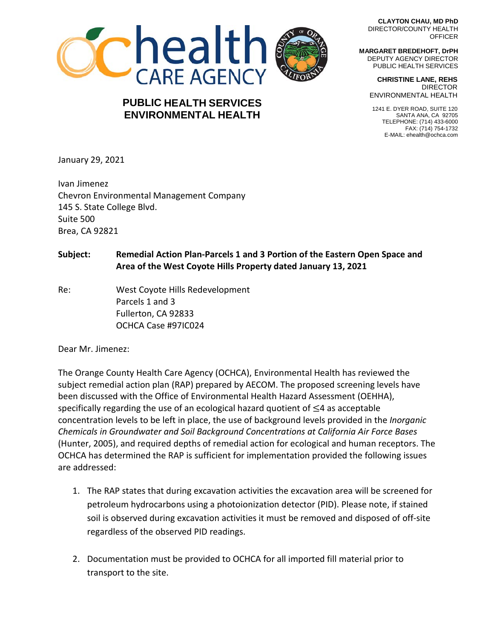

## **PUBLIC HEALTH SERVICES ENVIRONMENTAL HEALTH**

**CLAYTON CHAU, MD PhD** DIRECTOR/COUNTY HEALTH **OFFICER** 

**MARGARET BREDEHOFT, DrPH** DEPUTY AGENCY DIRECTOR PUBLIC HEALTH SERVICES

> **CHRISTINE LANE, REHS** DIRECTOR ENVIRONMENTAL HEALTH

 1241 E. DYER ROAD, SUITE 120 SANTA ANA, CA 92705 TELEPHONE: (714) 433-6000 FAX: (714) 754-1732 E-MAIL: ehealth@ochca.com

January 29, 2021

Ivan Jimenez Chevron Environmental Management Company 145 S. State College Blvd. Suite 500 Brea, CA 92821

## **Subject: Remedial Action Plan-Parcels 1 and 3 Portion of the Eastern Open Space and Area of the West Coyote Hills Property dated January 13, 2021**

Re: West Coyote Hills Redevelopment Parcels 1 and 3 Fullerton, CA 92833 OCHCA Case #97IC024

Dear Mr. Jimenez:

The Orange County Health Care Agency (OCHCA), Environmental Health has reviewed the subject remedial action plan (RAP) prepared by AECOM. The proposed screening levels have been discussed with the Office of Environmental Health Hazard Assessment (OEHHA), specifically regarding the use of an ecological hazard quotient of ≤4 as acceptable concentration levels to be left in place, the use of background levels provided in the *Inorganic Chemicals in Groundwater and Soil Background Concentrations at California Air Force Bases* (Hunter, 2005), and required depths of remedial action for ecological and human receptors. The OCHCA has determined the RAP is sufficient for implementation provided the following issues are addressed:

- 1. The RAP states that during excavation activities the excavation area will be screened for petroleum hydrocarbons using a photoionization detector (PID). Please note, if stained soil is observed during excavation activities it must be removed and disposed of off-site regardless of the observed PID readings.
- 2. Documentation must be provided to OCHCA for all imported fill material prior to transport to the site.